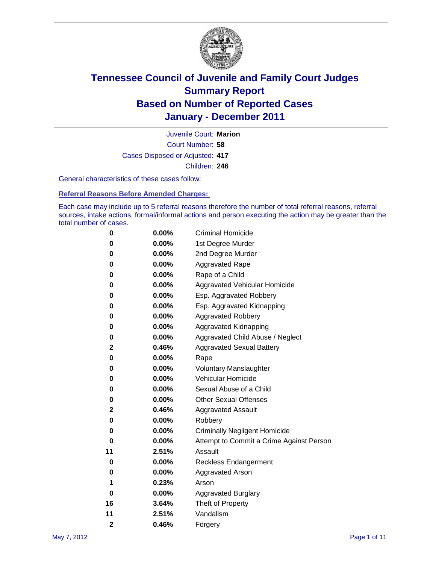

Court Number: **58** Juvenile Court: **Marion** Cases Disposed or Adjusted: **417** Children: **246**

General characteristics of these cases follow:

**Referral Reasons Before Amended Charges:** 

Each case may include up to 5 referral reasons therefore the number of total referral reasons, referral sources, intake actions, formal/informal actions and person executing the action may be greater than the total number of cases.

| 0              | 0.00% | <b>Criminal Homicide</b>                 |
|----------------|-------|------------------------------------------|
| 0              | 0.00% | 1st Degree Murder                        |
| 0              | 0.00% | 2nd Degree Murder                        |
| 0              | 0.00% | <b>Aggravated Rape</b>                   |
| 0              | 0.00% | Rape of a Child                          |
| 0              | 0.00% | Aggravated Vehicular Homicide            |
| 0              | 0.00% | Esp. Aggravated Robbery                  |
| 0              | 0.00% | Esp. Aggravated Kidnapping               |
| 0              | 0.00% | <b>Aggravated Robbery</b>                |
| 0              | 0.00% | Aggravated Kidnapping                    |
| 0              | 0.00% | Aggravated Child Abuse / Neglect         |
| 2              | 0.46% | <b>Aggravated Sexual Battery</b>         |
| 0              | 0.00% | Rape                                     |
| 0              | 0.00% | <b>Voluntary Manslaughter</b>            |
| 0              | 0.00% | Vehicular Homicide                       |
| 0              | 0.00% | Sexual Abuse of a Child                  |
| 0              | 0.00% | <b>Other Sexual Offenses</b>             |
| 2              | 0.46% | <b>Aggravated Assault</b>                |
| 0              | 0.00% | Robbery                                  |
| 0              | 0.00% | <b>Criminally Negligent Homicide</b>     |
| 0              | 0.00% | Attempt to Commit a Crime Against Person |
| 11             | 2.51% | Assault                                  |
| 0              | 0.00% | <b>Reckless Endangerment</b>             |
| 0              | 0.00% | <b>Aggravated Arson</b>                  |
| 1              | 0.23% | Arson                                    |
| 0              | 0.00% | <b>Aggravated Burglary</b>               |
| 16             | 3.64% | Theft of Property                        |
| 11             | 2.51% | Vandalism                                |
| $\overline{2}$ | 0.46% | Forgery                                  |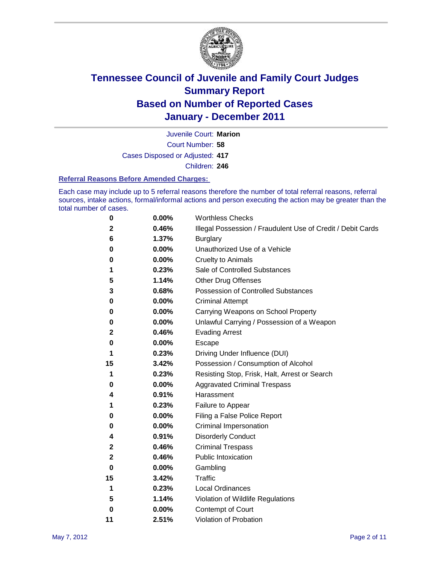

Court Number: **58** Juvenile Court: **Marion** Cases Disposed or Adjusted: **417**

Children: **246**

#### **Referral Reasons Before Amended Charges:**

Each case may include up to 5 referral reasons therefore the number of total referral reasons, referral sources, intake actions, formal/informal actions and person executing the action may be greater than the total number of cases.

| 0            | 0.00% | <b>Worthless Checks</b>                                     |
|--------------|-------|-------------------------------------------------------------|
| $\mathbf{2}$ | 0.46% | Illegal Possession / Fraudulent Use of Credit / Debit Cards |
| 6            | 1.37% | <b>Burglary</b>                                             |
| 0            | 0.00% | Unauthorized Use of a Vehicle                               |
| 0            | 0.00% | <b>Cruelty to Animals</b>                                   |
| 1            | 0.23% | Sale of Controlled Substances                               |
| 5            | 1.14% | <b>Other Drug Offenses</b>                                  |
| 3            | 0.68% | Possession of Controlled Substances                         |
| 0            | 0.00% | <b>Criminal Attempt</b>                                     |
| 0            | 0.00% | Carrying Weapons on School Property                         |
| 0            | 0.00% | Unlawful Carrying / Possession of a Weapon                  |
| $\mathbf{2}$ | 0.46% | <b>Evading Arrest</b>                                       |
| 0            | 0.00% | Escape                                                      |
| 1            | 0.23% | Driving Under Influence (DUI)                               |
| 15           | 3.42% | Possession / Consumption of Alcohol                         |
| 1            | 0.23% | Resisting Stop, Frisk, Halt, Arrest or Search               |
| 0            | 0.00% | <b>Aggravated Criminal Trespass</b>                         |
| 4            | 0.91% | Harassment                                                  |
| 1            | 0.23% | Failure to Appear                                           |
| 0            | 0.00% | Filing a False Police Report                                |
| 0            | 0.00% | Criminal Impersonation                                      |
| 4            | 0.91% | <b>Disorderly Conduct</b>                                   |
| 2            | 0.46% | <b>Criminal Trespass</b>                                    |
| $\mathbf{2}$ | 0.46% | <b>Public Intoxication</b>                                  |
| 0            | 0.00% | Gambling                                                    |
| 15           | 3.42% | <b>Traffic</b>                                              |
| 1            | 0.23% | <b>Local Ordinances</b>                                     |
| 5            | 1.14% | Violation of Wildlife Regulations                           |
| 0            | 0.00% | Contempt of Court                                           |
| 11           | 2.51% | Violation of Probation                                      |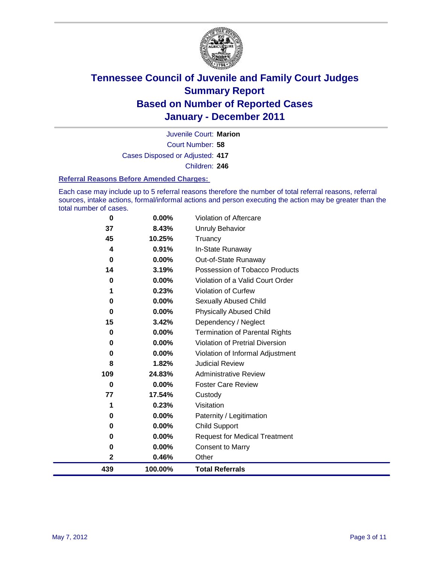

Court Number: **58** Juvenile Court: **Marion** Cases Disposed or Adjusted: **417** Children: **246**

#### **Referral Reasons Before Amended Charges:**

Each case may include up to 5 referral reasons therefore the number of total referral reasons, referral sources, intake actions, formal/informal actions and person executing the action may be greater than the total number of cases.

| 439          | 100.00%        | <b>Total Referrals</b>                   |
|--------------|----------------|------------------------------------------|
| $\mathbf{2}$ | 0.46%          | Other                                    |
| 0            | 0.00%          | <b>Consent to Marry</b>                  |
| 0            | 0.00%          | <b>Request for Medical Treatment</b>     |
| $\bf{0}$     | 0.00%          | <b>Child Support</b>                     |
| 0            | 0.00%          | Paternity / Legitimation                 |
| 1            | 0.23%          | Visitation                               |
| 77           | 17.54%         | Custody                                  |
| 0            | 0.00%          | <b>Foster Care Review</b>                |
| 109          | 24.83%         | <b>Administrative Review</b>             |
| 8            | 1.82%          | <b>Judicial Review</b>                   |
| 0            | 0.00%          | Violation of Informal Adjustment         |
| $\bf{0}$     | 0.00%          | <b>Violation of Pretrial Diversion</b>   |
| 0            | 0.00%          | <b>Termination of Parental Rights</b>    |
| 15           | 3.42%          | Dependency / Neglect                     |
| $\bf{0}$     | 0.00%          | <b>Physically Abused Child</b>           |
| 0            | 0.00%          | <b>Sexually Abused Child</b>             |
|              | 0.23%          | <b>Violation of Curfew</b>               |
| 0            | $0.00\%$       | Violation of a Valid Court Order         |
| 14           | 3.19%          | Possession of Tobacco Products           |
| $\bf{0}$     | 0.91%<br>0.00% | In-State Runaway<br>Out-of-State Runaway |
| 45<br>4      | 10.25%         | Truancy                                  |
| 37           | 8.43%          | Unruly Behavior                          |
| 0            | $0.00\%$       | Violation of Aftercare                   |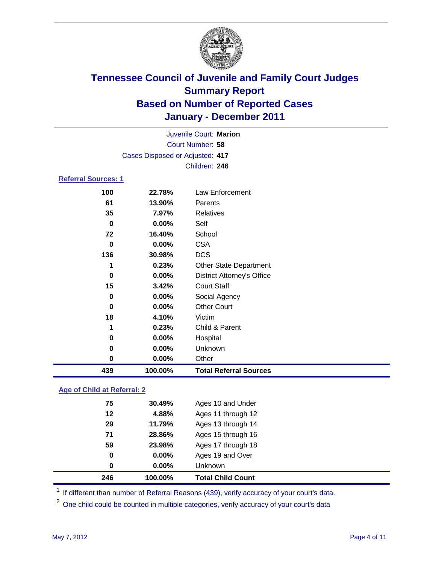

|                                 | Juvenile Court: Marion |                                   |  |  |  |
|---------------------------------|------------------------|-----------------------------------|--|--|--|
| Court Number: 58                |                        |                                   |  |  |  |
| Cases Disposed or Adjusted: 417 |                        |                                   |  |  |  |
|                                 |                        | Children: 246                     |  |  |  |
| <b>Referral Sources: 1</b>      |                        |                                   |  |  |  |
| 100                             | 22.78%                 | Law Enforcement                   |  |  |  |
| 61                              | 13.90%                 | Parents                           |  |  |  |
| 35                              | 7.97%                  | Relatives                         |  |  |  |
| 0                               | $0.00\%$               | Self                              |  |  |  |
| 72                              | 16.40%                 | School                            |  |  |  |
| 0                               | $0.00\%$               | <b>CSA</b>                        |  |  |  |
| 136                             | 30.98%                 | <b>DCS</b>                        |  |  |  |
| 1                               | 0.23%                  | <b>Other State Department</b>     |  |  |  |
| 0                               | $0.00\%$               | <b>District Attorney's Office</b> |  |  |  |
| 15                              | 3.42%                  | <b>Court Staff</b>                |  |  |  |
| 0                               | 0.00%                  | Social Agency                     |  |  |  |
| 0                               | $0.00\%$               | <b>Other Court</b>                |  |  |  |
| 18                              | 4.10%                  | Victim                            |  |  |  |

| 439 | 100.00%  | <b>Total Referral Sources</b> |  |
|-----|----------|-------------------------------|--|
| 0   | $0.00\%$ | Other                         |  |
| 0   | $0.00\%$ | <b>Unknown</b>                |  |
| 0   | $0.00\%$ | Hospital                      |  |
| 1   | 0.23%    | Child & Parent                |  |
| 18  | 4.10%    | Victim                        |  |

### **Age of Child at Referral: 2**

| 0  | $0.00\%$ | <b>Unknown</b>     |
|----|----------|--------------------|
| 0  | 0.00%    | Ages 19 and Over   |
| 59 | 23.98%   | Ages 17 through 18 |
| 71 | 28.86%   | Ages 15 through 16 |
| 29 | 11.79%   | Ages 13 through 14 |
| 12 | 4.88%    | Ages 11 through 12 |
| 75 | 30.49%   | Ages 10 and Under  |
|    |          |                    |

<sup>1</sup> If different than number of Referral Reasons (439), verify accuracy of your court's data.

<sup>2</sup> One child could be counted in multiple categories, verify accuracy of your court's data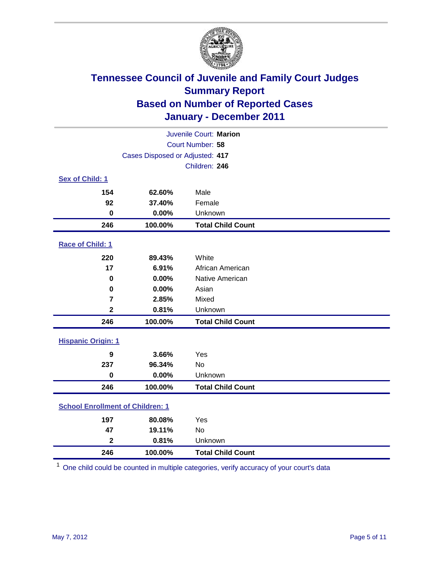

| Juvenile Court: Marion    |                                         |                          |  |  |  |
|---------------------------|-----------------------------------------|--------------------------|--|--|--|
|                           | Court Number: 58                        |                          |  |  |  |
|                           | Cases Disposed or Adjusted: 417         |                          |  |  |  |
|                           |                                         | Children: 246            |  |  |  |
| Sex of Child: 1           |                                         |                          |  |  |  |
| 154                       | 62.60%                                  | Male                     |  |  |  |
| 92                        | 37.40%                                  | Female                   |  |  |  |
| $\mathbf 0$               | 0.00%                                   | Unknown                  |  |  |  |
| 246                       | 100.00%                                 | <b>Total Child Count</b> |  |  |  |
| Race of Child: 1          |                                         |                          |  |  |  |
| 220                       | 89.43%                                  | White                    |  |  |  |
| 17                        | 6.91%                                   | African American         |  |  |  |
| $\mathbf 0$               | 0.00%                                   | Native American          |  |  |  |
| $\mathbf 0$               | 0.00%                                   | Asian                    |  |  |  |
| $\overline{\mathbf{r}}$   | 2.85%                                   | Mixed                    |  |  |  |
| $\overline{\mathbf{2}}$   | 0.81%                                   | Unknown                  |  |  |  |
| 246                       | 100.00%                                 | <b>Total Child Count</b> |  |  |  |
| <b>Hispanic Origin: 1</b> |                                         |                          |  |  |  |
| $\boldsymbol{9}$          | 3.66%                                   | Yes                      |  |  |  |
| 237                       | 96.34%                                  | <b>No</b>                |  |  |  |
| $\mathbf 0$               | 0.00%                                   | Unknown                  |  |  |  |
| 246                       | 100.00%                                 | <b>Total Child Count</b> |  |  |  |
|                           | <b>School Enrollment of Children: 1</b> |                          |  |  |  |
| 197                       | 80.08%                                  | Yes                      |  |  |  |
| 47                        | 19.11%                                  | No                       |  |  |  |
| $\mathbf{2}$              | 0.81%                                   | Unknown                  |  |  |  |
| 246                       | 100.00%<br><b>Total Child Count</b>     |                          |  |  |  |

One child could be counted in multiple categories, verify accuracy of your court's data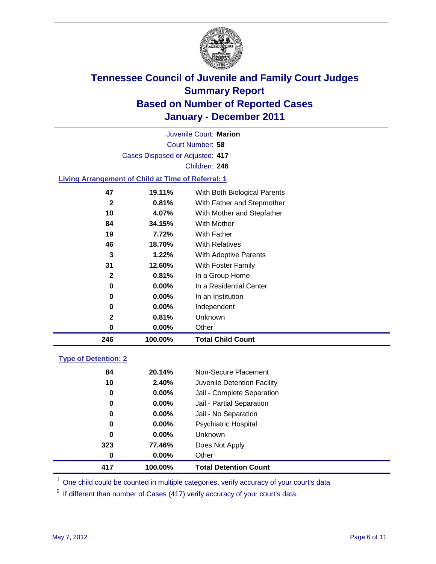

|    |                                                           | Juvenile Court: Marion       |  |
|----|-----------------------------------------------------------|------------------------------|--|
|    |                                                           | Court Number: 58             |  |
|    | Cases Disposed or Adjusted: 417                           |                              |  |
|    |                                                           | Children: 246                |  |
|    | <b>Living Arrangement of Child at Time of Referral: 1</b> |                              |  |
| 47 | 19.11%                                                    | With Both Biological Parents |  |
|    | 0.81%                                                     | With Father and Stenmother   |  |

| 246 | 100.00%  | <b>Total Child Count</b>   |
|-----|----------|----------------------------|
| 0   | $0.00\%$ | Other                      |
| 2   | 0.81%    | Unknown                    |
| 0   | $0.00\%$ | Independent                |
| 0   | $0.00\%$ | In an Institution          |
| 0   | $0.00\%$ | In a Residential Center    |
| 2   | 0.81%    | In a Group Home            |
| 31  | 12.60%   | With Foster Family         |
| 3   | 1.22%    | With Adoptive Parents      |
| 46  | 18.70%   | <b>With Relatives</b>      |
| 19  | 7.72%    | With Father                |
| 84  | 34.15%   | With Mother                |
| 10  | 4.07%    | With Mother and Stepfather |
| 2   | 0.81%    | With Father and Stepmother |

### **Type of Detention: 2**

| 417 | 100.00%  | <b>Total Detention Count</b> |  |
|-----|----------|------------------------------|--|
| 0   | $0.00\%$ | Other                        |  |
| 323 | 77.46%   | Does Not Apply               |  |
| 0   | $0.00\%$ | Unknown                      |  |
| 0   | 0.00%    | Psychiatric Hospital         |  |
| 0   | 0.00%    | Jail - No Separation         |  |
| 0   | $0.00\%$ | Jail - Partial Separation    |  |
| 0   | 0.00%    | Jail - Complete Separation   |  |
| 10  | 2.40%    | Juvenile Detention Facility  |  |
| 84  | 20.14%   | Non-Secure Placement         |  |
|     |          |                              |  |

<sup>1</sup> One child could be counted in multiple categories, verify accuracy of your court's data

<sup>2</sup> If different than number of Cases (417) verify accuracy of your court's data.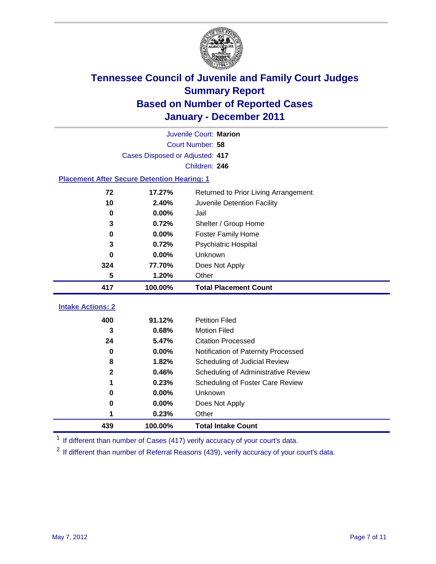

|                                                    | Juvenile Court: Marion                         |                                     |  |  |
|----------------------------------------------------|------------------------------------------------|-------------------------------------|--|--|
|                                                    | Court Number: 58                               |                                     |  |  |
|                                                    | Cases Disposed or Adjusted: 417                |                                     |  |  |
|                                                    |                                                | Children: 246                       |  |  |
| <b>Placement After Secure Detention Hearing: 1</b> |                                                |                                     |  |  |
| 72                                                 | 17.27%<br>Returned to Prior Living Arrangement |                                     |  |  |
| 10                                                 | 2.40%                                          | Juvenile Detention Facility         |  |  |
| $\mathbf 0$                                        | 0.00%                                          | Jail                                |  |  |
| 3                                                  | 0.72%                                          | Shelter / Group Home                |  |  |
| 0                                                  | 0.00%                                          | <b>Foster Family Home</b>           |  |  |
| 3                                                  | 0.72%                                          | Psychiatric Hospital                |  |  |
| 0                                                  | 0.00%                                          | Unknown                             |  |  |
| 324                                                | 77.70%                                         | Does Not Apply                      |  |  |
| 5                                                  | 1.20%                                          | Other                               |  |  |
|                                                    |                                                |                                     |  |  |
| 417                                                | 100.00%                                        | <b>Total Placement Count</b>        |  |  |
|                                                    |                                                |                                     |  |  |
| <b>Intake Actions: 2</b><br>400                    | 91.12%                                         | <b>Petition Filed</b>               |  |  |
| 3                                                  | 0.68%                                          | <b>Motion Filed</b>                 |  |  |
| 24                                                 | 5.47%                                          | <b>Citation Processed</b>           |  |  |
| 0                                                  | 0.00%                                          | Notification of Paternity Processed |  |  |
| 8                                                  | 1.82%                                          | Scheduling of Judicial Review       |  |  |
| $\mathbf{2}$                                       | 0.46%                                          | Scheduling of Administrative Review |  |  |
| 1                                                  | 0.23%                                          | Scheduling of Foster Care Review    |  |  |
| 0                                                  | 0.00%                                          | Unknown                             |  |  |
| 0                                                  | 0.00%                                          | Does Not Apply                      |  |  |
|                                                    | 0.23%                                          | Other                               |  |  |

<sup>1</sup> If different than number of Cases (417) verify accuracy of your court's data.

<sup>2</sup> If different than number of Referral Reasons (439), verify accuracy of your court's data.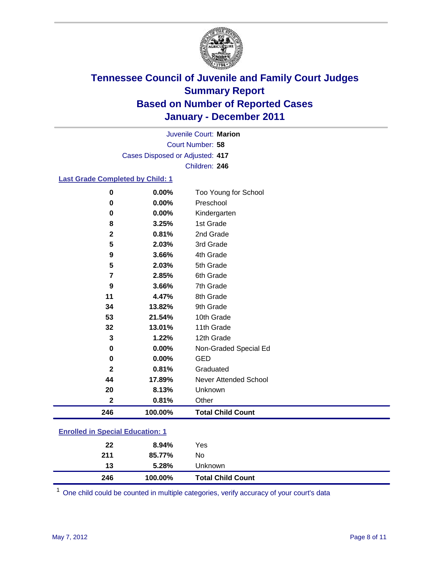

Court Number: **58** Juvenile Court: **Marion** Cases Disposed or Adjusted: **417** Children: **246**

### **Last Grade Completed by Child: 1**

| $\bf{0}$                                | 0.00%   | Too Young for School         |  |  |
|-----------------------------------------|---------|------------------------------|--|--|
| $\bf{0}$                                | 0.00%   | Preschool                    |  |  |
| $\pmb{0}$                               | 0.00%   | Kindergarten                 |  |  |
| 8                                       | 3.25%   | 1st Grade                    |  |  |
| $\mathbf 2$                             | 0.81%   | 2nd Grade                    |  |  |
| 5                                       | 2.03%   | 3rd Grade                    |  |  |
| 9                                       | 3.66%   | 4th Grade                    |  |  |
| 5                                       | 2.03%   | 5th Grade                    |  |  |
| 7                                       | 2.85%   | 6th Grade                    |  |  |
| 9                                       | 3.66%   | 7th Grade                    |  |  |
| 11                                      | 4.47%   | 8th Grade                    |  |  |
| 34                                      | 13.82%  | 9th Grade                    |  |  |
| 53                                      | 21.54%  | 10th Grade                   |  |  |
| 32                                      | 13.01%  | 11th Grade                   |  |  |
| 3                                       | 1.22%   | 12th Grade                   |  |  |
| 0                                       | 0.00%   | Non-Graded Special Ed        |  |  |
| $\pmb{0}$                               | 0.00%   | <b>GED</b>                   |  |  |
| $\mathbf{2}$                            | 0.81%   | Graduated                    |  |  |
| 44                                      | 17.89%  | <b>Never Attended School</b> |  |  |
| 20                                      | 8.13%   | Unknown                      |  |  |
| $\mathbf{2}$                            | 0.81%   | Other                        |  |  |
| 246                                     | 100.00% | <b>Total Child Count</b>     |  |  |
| <b>Enrolled in Special Education: 1</b> |         |                              |  |  |

| 246 | 100.00% | <b>Total Child Count</b> |
|-----|---------|--------------------------|
| 13  | 5.28%   | <b>Unknown</b>           |
| 211 | 85.77%  | No.                      |
| 22  | 8.94%   | Yes                      |
|     |         |                          |

One child could be counted in multiple categories, verify accuracy of your court's data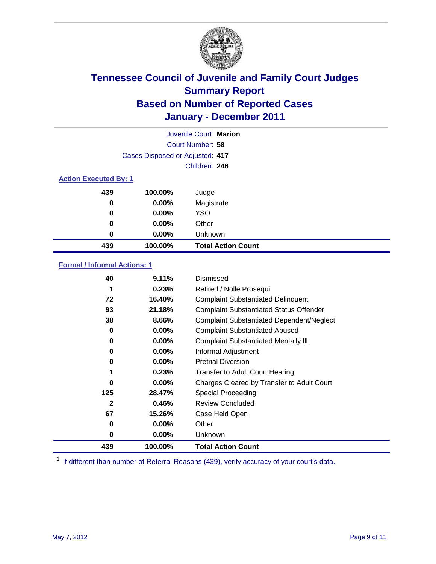

|                              |                                 | Juvenile Court: Marion    |
|------------------------------|---------------------------------|---------------------------|
|                              |                                 | Court Number: 58          |
|                              | Cases Disposed or Adjusted: 417 |                           |
|                              |                                 | Children: 246             |
| <b>Action Executed By: 1</b> |                                 |                           |
| 439                          | 100.00%                         | Judge                     |
| 0                            | $0.00\%$                        | Magistrate                |
| 0                            | $0.00\%$                        | <b>YSO</b>                |
| 0                            | 0.00%                           | Other                     |
| 0                            | 0.00%                           | Unknown                   |
| 439                          | 100.00%                         | <b>Total Action Count</b> |

### **Formal / Informal Actions: 1**

| 40           | 9.11%    | Dismissed                                        |
|--------------|----------|--------------------------------------------------|
| 1            | 0.23%    | Retired / Nolle Prosequi                         |
| 72           | 16.40%   | <b>Complaint Substantiated Delinquent</b>        |
| 93           | 21.18%   | <b>Complaint Substantiated Status Offender</b>   |
| 38           | 8.66%    | <b>Complaint Substantiated Dependent/Neglect</b> |
| 0            | $0.00\%$ | <b>Complaint Substantiated Abused</b>            |
| 0            | $0.00\%$ | <b>Complaint Substantiated Mentally III</b>      |
| 0            | $0.00\%$ | Informal Adjustment                              |
| 0            | $0.00\%$ | <b>Pretrial Diversion</b>                        |
| 1            | 0.23%    | <b>Transfer to Adult Court Hearing</b>           |
| 0            | 0.00%    | Charges Cleared by Transfer to Adult Court       |
| 125          | 28.47%   | <b>Special Proceeding</b>                        |
| $\mathbf{2}$ | 0.46%    | <b>Review Concluded</b>                          |
| 67           | 15.26%   | Case Held Open                                   |
| 0            | $0.00\%$ | Other                                            |
| 0            | $0.00\%$ | Unknown                                          |
| 439          | 100.00%  | <b>Total Action Count</b>                        |

<sup>1</sup> If different than number of Referral Reasons (439), verify accuracy of your court's data.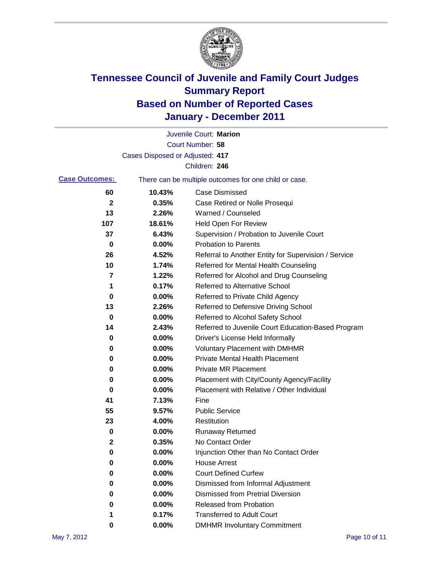

|                       |                                 | Juvenile Court: Marion                                |
|-----------------------|---------------------------------|-------------------------------------------------------|
|                       |                                 | Court Number: 58                                      |
|                       | Cases Disposed or Adjusted: 417 |                                                       |
|                       |                                 | Children: 246                                         |
| <b>Case Outcomes:</b> |                                 | There can be multiple outcomes for one child or case. |
| 60                    | 10.43%                          | <b>Case Dismissed</b>                                 |
| $\mathbf 2$           | 0.35%                           | Case Retired or Nolle Prosequi                        |
| 13                    | 2.26%                           | Warned / Counseled                                    |
| 107                   | 18.61%                          | Held Open For Review                                  |
| 37                    | 6.43%                           | Supervision / Probation to Juvenile Court             |
| 0                     | 0.00%                           | <b>Probation to Parents</b>                           |
| 26                    | 4.52%                           | Referral to Another Entity for Supervision / Service  |
| 10                    | 1.74%                           | Referred for Mental Health Counseling                 |
| 7                     | 1.22%                           | Referred for Alcohol and Drug Counseling              |
| 1                     | 0.17%                           | <b>Referred to Alternative School</b>                 |
| 0                     | 0.00%                           | Referred to Private Child Agency                      |
| 13                    | 2.26%                           | Referred to Defensive Driving School                  |
| 0                     | 0.00%                           | Referred to Alcohol Safety School                     |
| 14                    | 2.43%                           | Referred to Juvenile Court Education-Based Program    |
| 0                     | 0.00%                           | Driver's License Held Informally                      |
| 0                     | 0.00%                           | <b>Voluntary Placement with DMHMR</b>                 |
| 0                     | 0.00%                           | <b>Private Mental Health Placement</b>                |
| 0                     | 0.00%                           | <b>Private MR Placement</b>                           |
| 0                     | 0.00%                           | Placement with City/County Agency/Facility            |
| 0                     | 0.00%                           | Placement with Relative / Other Individual            |
| 41                    | 7.13%                           | Fine                                                  |
| 55                    | 9.57%                           | <b>Public Service</b>                                 |
| 23                    | 4.00%                           | Restitution                                           |
| 0                     | 0.00%                           | Runaway Returned                                      |
| 2                     | 0.35%                           | No Contact Order                                      |
| 0                     | 0.00%                           | Injunction Other than No Contact Order                |
| 0                     | 0.00%                           | <b>House Arrest</b>                                   |
| 0                     | 0.00%                           | <b>Court Defined Curfew</b>                           |
| 0                     | 0.00%                           | Dismissed from Informal Adjustment                    |
| 0                     | 0.00%                           | <b>Dismissed from Pretrial Diversion</b>              |
| 0                     | 0.00%                           | <b>Released from Probation</b>                        |
| 1                     | 0.17%                           | <b>Transferred to Adult Court</b>                     |
| 0                     | $0.00\%$                        | <b>DMHMR Involuntary Commitment</b>                   |